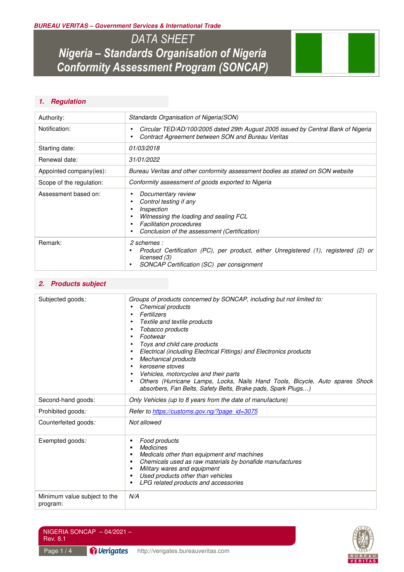*BUREAU VERITAS – Government Services & International Trade* 

*DATA SHEET Nigeria – Standards Organisation of Nigeria Conformity Assessment Program (SONCAP)* 



# *1. Regulation*

| Authority:               | Standards Organisation of Nigeria (SON)                                                                                                                                                |  |
|--------------------------|----------------------------------------------------------------------------------------------------------------------------------------------------------------------------------------|--|
| Notification:            | Circular TED/AD/100/2005 dated 29th August 2005 issued by Central Bank of Nigeria<br>Contract Agreement between SON and Bureau Veritas                                                 |  |
| Starting date:           | 01/03/2018                                                                                                                                                                             |  |
| Renewal date:            | 31/01/2022                                                                                                                                                                             |  |
| Appointed company(ies):  | Bureau Veritas and other conformity assessment bodies as stated on SON website                                                                                                         |  |
| Scope of the regulation: | Conformity assessment of goods exported to Nigeria                                                                                                                                     |  |
| Assessment based on:     | Documentary review<br>Control testing if any<br>Inspection<br>Witnessing the loading and sealing FCL<br><b>Facilitation procedures</b><br>Conclusion of the assessment (Certification) |  |
| Remark:                  | 2 schemes :<br>Product Certification (PC), per product, either Unregistered (1), registered (2)<br>or<br>licensed (3)<br>SONCAP Certification (SC) per consignment                     |  |

# *2. Products subject*

| Subjected goods:                         | Groups of products concerned by SONCAP, including but not limited to:<br>Chemical products<br>Fertilizers<br>Textile and textile products<br>Tobacco products<br>Footwear<br>Toys and child care products<br>Electrical (including Electrical Fittings) and Electronics products<br><b>Mechanical products</b><br>kerosene stoves<br>Vehicles, motorcycles and their parts<br>Others (Hurricane Lamps, Locks, Nails Hand Tools, Bicycle, Auto spares Shock<br>absorbers, Fan Belts, Safety Belts, Brake pads, Spark Plugs) |  |
|------------------------------------------|----------------------------------------------------------------------------------------------------------------------------------------------------------------------------------------------------------------------------------------------------------------------------------------------------------------------------------------------------------------------------------------------------------------------------------------------------------------------------------------------------------------------------|--|
| Second-hand goods:                       | Only Vehicles (up to 8 years from the date of manufacture)                                                                                                                                                                                                                                                                                                                                                                                                                                                                 |  |
| Prohibited goods:                        | Refer to https://customs.gov.ng/?page_id=3075                                                                                                                                                                                                                                                                                                                                                                                                                                                                              |  |
| Counterfeited goods:                     | Not allowed                                                                                                                                                                                                                                                                                                                                                                                                                                                                                                                |  |
| Exempted goods:                          | Food products<br><b>Medicines</b><br>Medicals other than equipment and machines<br>Chemicals used as raw materials by bonafide manufactures<br>Military wares and equipment<br>Used products other than vehicles<br>LPG related products and accessories                                                                                                                                                                                                                                                                   |  |
| Minimum value subject to the<br>program: | N/A                                                                                                                                                                                                                                                                                                                                                                                                                                                                                                                        |  |

| NIGERIA SONCAP $-04/2021-$<br>Rev. 8.1 |  |                                              |
|----------------------------------------|--|----------------------------------------------|
| Page $1/4$                             |  | Verigates http://verigates.bureauveritas.com |

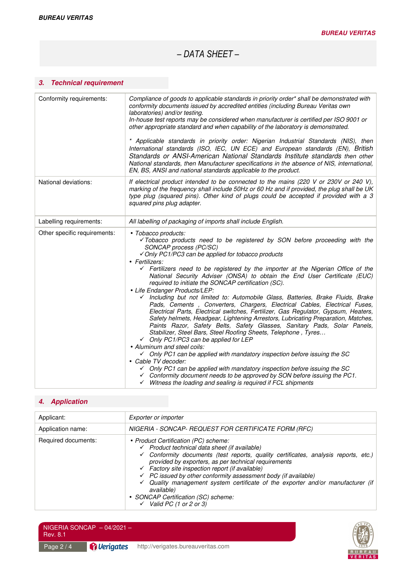*– DATA SHEET –* 

# *3. Technical requirement*

| Conformity requirements:     | Compliance of goods to applicable standards in priority order* shall be demonstrated with<br>conformity documents issued by accredited entities (including Bureau Veritas own<br>laboratories) and/or testing.<br>In-house test reports may be considered when manufacturer is certified per ISO 9001 or<br>other appropriate standard and when capability of the laboratory is demonstrated.<br>* Applicable standards in priority order: Nigerian Industrial Standards (NIS), then<br>International standards (ISO, IEC, UN ECE) and European standards (EN), British<br>Standards or ANSI-American National Standards Institute standards then other<br>National standards, then Manufacturer specifications in the absence of NIS, international,<br>EN, BS, ANSI and national standards applicable to the product.                                                                                                                                                                                                                                                                                                                                                                                                                                                                                                                  |  |
|------------------------------|------------------------------------------------------------------------------------------------------------------------------------------------------------------------------------------------------------------------------------------------------------------------------------------------------------------------------------------------------------------------------------------------------------------------------------------------------------------------------------------------------------------------------------------------------------------------------------------------------------------------------------------------------------------------------------------------------------------------------------------------------------------------------------------------------------------------------------------------------------------------------------------------------------------------------------------------------------------------------------------------------------------------------------------------------------------------------------------------------------------------------------------------------------------------------------------------------------------------------------------------------------------------------------------------------------------------------------------|--|
| National deviations:         | If electrical product intended to be connected to the mains (220 V or 230V or 240 V),<br>marking of the frequency shall include 50Hz or 60 Hz and if provided, the plug shall be UK<br>type plug (squared pins). Other kind of plugs could be accepted if provided with a 3<br>squared pins plug adapter.                                                                                                                                                                                                                                                                                                                                                                                                                                                                                                                                                                                                                                                                                                                                                                                                                                                                                                                                                                                                                                |  |
| Labelling requirements:      | All labelling of packaging of imports shall include English.                                                                                                                                                                                                                                                                                                                                                                                                                                                                                                                                                                                                                                                                                                                                                                                                                                                                                                                                                                                                                                                                                                                                                                                                                                                                             |  |
| Other specific requirements: | • Tobacco products:<br>√Tobacco products need to be registered by SON before proceeding with the<br>SONCAP process (PC/SC)<br>√ Only PC1/PC3 can be applied for tobacco products<br>• Fertilizers:<br>$\checkmark$ Fertilizers need to be registered by the importer at the Nigerian Office of the<br>National Security Adviser (ONSA) to obtain the End User Certificate (EUC)<br>required to initiate the SONCAP certification (SC).<br>• Life Endanger Products/LEP:<br>√ Including but not limited to: Automobile Glass, Batteries, Brake Fluids, Brake<br>Pads, Cements, Converters, Chargers, Electrical Cables, Electrical Fuses,<br>Electrical Parts, Electrical switches, Fertilizer, Gas Regulator, Gypsum, Heaters,<br>Safety helmets, Headgear, Lightening Arrestors, Lubricating Preparation, Matches,<br>Paints Razor, Safety Belts, Safety Glasses, Sanitary Pads, Solar Panels,<br>Stabilizer, Steel Bars, Steel Roofing Sheets, Telephone, Tyres<br>← Only PC1/PC3 can be applied for LEP<br>• Aluminum and steel coils:<br>$\checkmark$ Only PC1 can be applied with mandatory inspection before issuing the SC<br>• Cable TV decoder:<br>$\checkmark$ Only PC1 can be applied with mandatory inspection before issuing the SC<br>$\checkmark$ Conformity document needs to be approved by SON before issuing the PC1. |  |

# *4. Application*

| Applicant:          | Exporter or importer                                                                                                                                                                                                                                                                                                                                                                                                                                                                                                                                                                            |  |  |
|---------------------|-------------------------------------------------------------------------------------------------------------------------------------------------------------------------------------------------------------------------------------------------------------------------------------------------------------------------------------------------------------------------------------------------------------------------------------------------------------------------------------------------------------------------------------------------------------------------------------------------|--|--|
| Application name:   | NIGERIA - SONCAP- REQUEST FOR CERTIFICATE FORM (RFC)                                                                                                                                                                                                                                                                                                                                                                                                                                                                                                                                            |  |  |
| Required documents: | • Product Certification (PC) scheme:<br>$\checkmark$ Product technical data sheet (if available)<br>$\checkmark$ Conformity documents (test reports, quality certificates, analysis reports, etc.)<br>provided by exporters, as per technical requirements<br>$\checkmark$ Factory site inspection report (if available)<br>$\checkmark$ PC issued by other conformity assessment body (if available)<br>$\checkmark$ Quality management system certificate of the exporter and/or manufacturer (if<br>available)<br>• SONCAP Certification (SC) scheme:<br>$\checkmark$ Valid PC (1 or 2 or 3) |  |  |

 $NIGERIA SONCAP - 04/2021 -$ Rev. 8.1

Page 2 / 4 **Page 2 / 4 http://verigates.bureauveritas.com** 

**BUREAU** VERITAS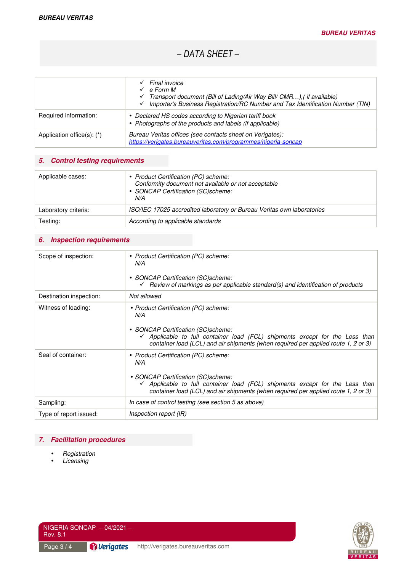*– DATA SHEET –* 

|                                  | Final invoice<br>e Form M<br>Transport document (Bill of Lading/Air Way Bill/ CMR), (if available)<br>$\checkmark$ Importer's Business Registration/RC Number and Tax Identification Number (TIN) |  |
|----------------------------------|---------------------------------------------------------------------------------------------------------------------------------------------------------------------------------------------------|--|
| Required information:            | • Declared HS codes according to Nigerian tariff book<br>• Photographs of the products and labels (if applicable)                                                                                 |  |
| Application office $(s)$ : $(*)$ | Bureau Veritas offices (see contacts sheet on Verigates):<br>https://verigates.bureauveritas.com/programmes/nigeria-soncap                                                                        |  |

## *5. Control testing requirements*

| Applicable cases:    | • Product Certification (PC) scheme:<br>Conformity document not available or not acceptable<br>• SONCAP Certification (SC)scheme:<br>N/A |  |
|----------------------|------------------------------------------------------------------------------------------------------------------------------------------|--|
| Laboratory criteria: | ISO/IEC 17025 accredited laboratory or Bureau Veritas own laboratories                                                                   |  |
| Testing:             | According to applicable standards                                                                                                        |  |

# *6. Inspection requirements*

| Scope of inspection:    | • Product Certification (PC) scheme:<br>N/A<br>• SONCAP Certification (SC)scheme:<br>Review of markings as per applicable standard(s) and identification of products<br>✓                                                                                          |
|-------------------------|--------------------------------------------------------------------------------------------------------------------------------------------------------------------------------------------------------------------------------------------------------------------|
| Destination inspection: | Not allowed                                                                                                                                                                                                                                                        |
| Witness of loading:     | • Product Certification (PC) scheme:<br>N/A<br>• SONCAP Certification (SC)scheme:<br>Applicable to full container load (FCL) shipments except for the Less than<br>container load (LCL) and air shipments (when required per applied route 1, 2 or 3)              |
| Seal of container:      | • Product Certification (PC) scheme:<br>N/A<br>• SONCAP Certification (SC)scheme:<br>$\checkmark$ Applicable to full container load (FCL) shipments except for the Less than<br>container load (LCL) and air shipments (when required per applied route 1, 2 or 3) |
| Sampling:               | In case of control testing (see section 5 as above)                                                                                                                                                                                                                |
| Type of report issued:  | Inspection report (IR)                                                                                                                                                                                                                                             |

## *7. Facilitation procedures*

- *Registration*
- *Licensing*

Rev. 8.1